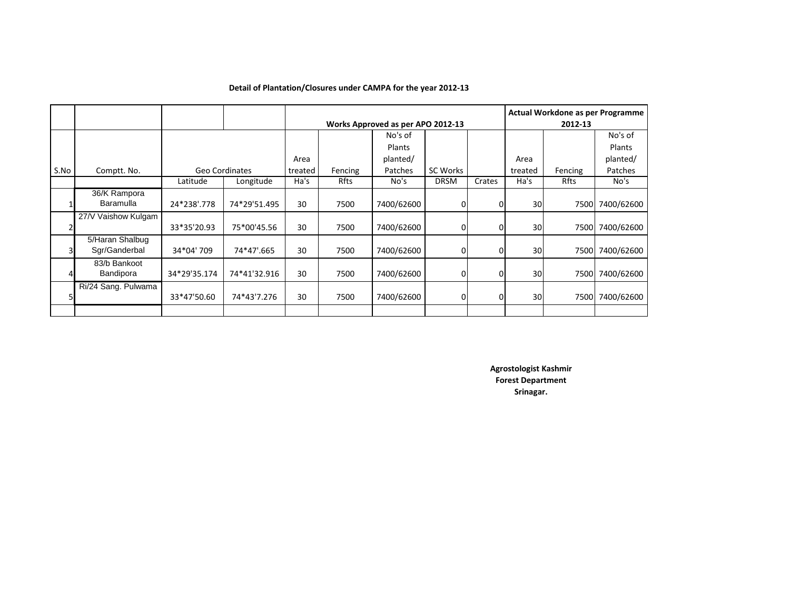|      |                                  |              |                |         |                                   |               |              | Actual Workdone as per Programme |                 |         |            |  |  |
|------|----------------------------------|--------------|----------------|---------|-----------------------------------|---------------|--------------|----------------------------------|-----------------|---------|------------|--|--|
|      |                                  |              |                |         | Works Approved as per APO 2012-13 |               |              |                                  |                 | 2012-13 |            |  |  |
|      |                                  |              |                |         |                                   | No's of       |              |                                  |                 |         | No's of    |  |  |
|      |                                  |              |                |         |                                   | <b>Plants</b> |              |                                  |                 |         | Plants     |  |  |
|      |                                  |              |                | Area    |                                   | planted/      |              |                                  | Area            |         | planted/   |  |  |
| S.No | Comptt. No.                      |              | Geo Cordinates | treated | Fencing                           | Patches       | SC Works     |                                  | treated         | Fencing | Patches    |  |  |
|      |                                  | Latitude     | Longitude      | Ha's    | Rfts                              | No's          | <b>DRSM</b>  | Crates                           | Ha's            | Rfts    | No's       |  |  |
|      | 36/K Rampora<br>Baramulla        | 24*238'.778  | 74*29'51.495   | 30      | 7500                              | 7400/62600    | 0            | 0                                | 30 <sup>1</sup> | 7500    | 7400/62600 |  |  |
|      | 27/V Vaishow Kulgam              | 33*35'20.93  | 75*00'45.56    | 30      | 7500                              | 7400/62600    | 0l           |                                  | 30              | 7500    | 7400/62600 |  |  |
|      | 5/Haran Shalbug<br>Sgr/Ganderbal | 34*04' 709   | 74*47'.665     | 30      | 7500                              | 7400/62600    | 0l           |                                  | 30              | 7500    | 7400/62600 |  |  |
|      | 83/b Bankoot<br>Bandipora        | 34*29'35.174 | 74*41'32.916   | 30      | 7500                              | 7400/62600    | <sup>0</sup> | 0                                | 30              | 7500l   | 7400/62600 |  |  |
| 5    | Ri/24 Sang. Pulwama              | 33*47'50.60  | 74*43'7.276    | 30      | 7500                              | 7400/62600    | <sup>0</sup> | 0                                | 30              | 7500    | 7400/62600 |  |  |
|      |                                  |              |                |         |                                   |               |              |                                  |                 |         |            |  |  |

## **Detail of Plantation/Closures under CAMPA for the year 2012-13**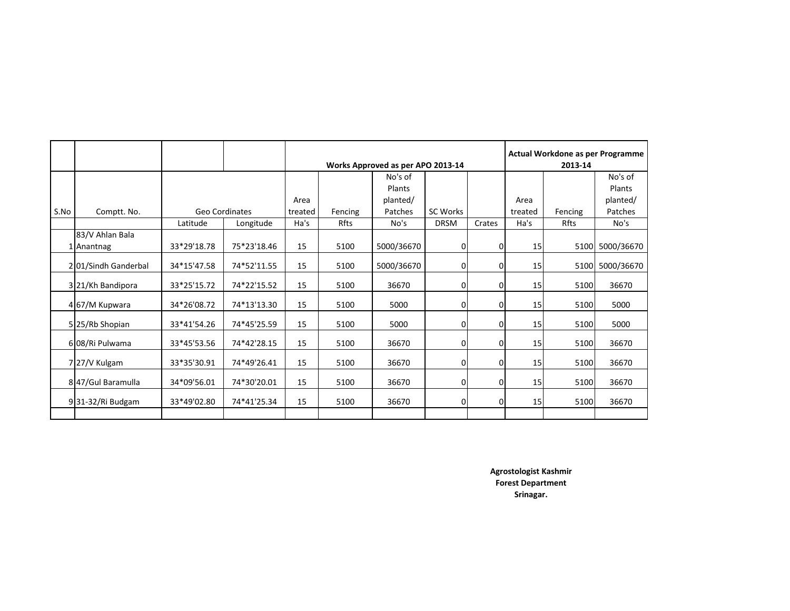|      |                     |             |                | Works Approved as per APO 2013-14 |         |            |                 |                | Actual Workdone as per Programme<br>2013-14 |             |                 |  |
|------|---------------------|-------------|----------------|-----------------------------------|---------|------------|-----------------|----------------|---------------------------------------------|-------------|-----------------|--|
|      |                     |             |                |                                   |         | No's of    |                 |                |                                             |             | No's of         |  |
|      |                     |             |                |                                   |         | Plants     |                 |                |                                             |             | Plants          |  |
|      |                     |             |                | Area                              |         | planted/   |                 |                | Area                                        |             | planted/        |  |
| S.No | Comptt. No.         |             | Geo Cordinates | treated                           | Fencing | Patches    | <b>SC Works</b> |                | treated                                     | Fencing     | Patches         |  |
|      |                     | Latitude    | Longitude      | Ha's                              | Rfts    | No's       | <b>DRSM</b>     | Crates         | Ha's                                        | <b>Rfts</b> | No's            |  |
|      | 83/V Ahlan Bala     | 33*29'18.78 | 75*23'18.46    | 15                                | 5100    | 5000/36670 | 0l              | $\overline{0}$ | 15                                          |             | 5100 5000/36670 |  |
|      | 1 Anantnag          |             |                |                                   |         |            |                 |                |                                             |             |                 |  |
|      | 201/Sindh Ganderbal | 34*15'47.58 | 74*52'11.55    | 15                                | 5100    | 5000/36670 | 0               | $\overline{0}$ | 15                                          |             | 5100 5000/36670 |  |
|      | 3 21/Kh Bandipora   | 33*25'15.72 | 74*22'15.52    | 15                                | 5100    | 36670      | 0l              | 0l             | 15                                          | 5100        | 36670           |  |
|      | 467/M Kupwara       | 34*26'08.72 | 74*13'13.30    | 15                                | 5100    | 5000       | 01              | 01             | 15                                          | 5100        | 5000            |  |
|      | 5 25/Rb Shopian     | 33*41'54.26 | 74*45'25.59    | 15                                | 5100    | 5000       | 0               | $\overline{0}$ | 15                                          | 5100        | 5000            |  |
|      | 6 08/Ri Pulwama     | 33*45'53.56 | 74*42'28.15    | 15                                | 5100    | 36670      | <sup>0</sup>    | 0l             | 15                                          | 5100        | 36670           |  |
|      | 7 27/V Kulgam       | 33*35'30.91 | 74*49'26.41    | 15                                | 5100    | 36670      | 01              | $\overline{0}$ | 15                                          | 5100        | 36670           |  |
|      | 8 47/Gul Baramulla  | 34*09'56.01 | 74*30'20.01    | 15                                | 5100    | 36670      | 0l              | $\overline{0}$ | 15                                          | 5100        | 36670           |  |
|      | 931-32/Ri Budgam    | 33*49'02.80 | 74*41'25.34    | 15                                | 5100    | 36670      | ΩI              | 01             | 15                                          | 5100        | 36670           |  |
|      |                     |             |                |                                   |         |            |                 |                |                                             |             |                 |  |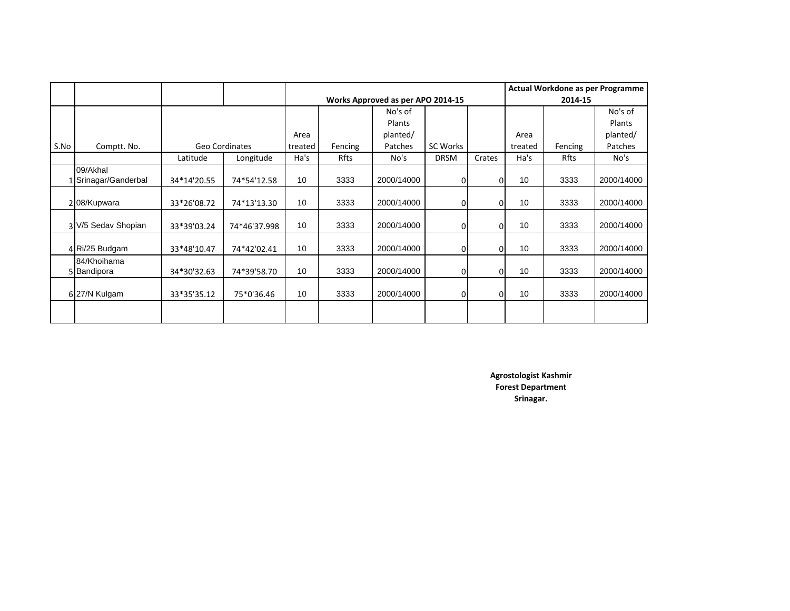|      |                                |             |                |                 |                                   |            |                |          | Actual Workdone as per Programme |         |            |  |  |
|------|--------------------------------|-------------|----------------|-----------------|-----------------------------------|------------|----------------|----------|----------------------------------|---------|------------|--|--|
|      |                                |             |                |                 | Works Approved as per APO 2014-15 |            |                |          |                                  | 2014-15 |            |  |  |
|      |                                |             |                |                 |                                   | No's of    |                |          |                                  |         | No's of    |  |  |
|      |                                |             |                |                 |                                   | Plants     |                |          |                                  |         | Plants     |  |  |
|      |                                |             |                | Area            |                                   | planted/   |                |          | Area                             |         | planted/   |  |  |
| S.No | Comptt. No.                    |             | Geo Cordinates | treated         | Fencing                           | Patches    | SC Works       |          | treated                          | Fencing | Patches    |  |  |
|      |                                | Latitude    | Longitude      | Ha's            | Rfts                              | No's       | <b>DRSM</b>    | Crates   | Ha's                             | Rfts    | No's       |  |  |
|      | 09/Akhal<br>Srinagar/Ganderbal | 34*14'20.55 | 74*54'12.58    | 10              | 3333                              | 2000/14000 | 01             | 0        | 10                               | 3333    | 2000/14000 |  |  |
|      | 208/Kupwara                    | 33*26'08.72 | 74*13'13.30    | 10 <sup>1</sup> | 3333                              | 2000/14000 | $\overline{0}$ | O        | 10                               | 3333    | 2000/14000 |  |  |
|      | 3 V/5 Sedav Shopian            | 33*39'03.24 | 74*46'37.998   | 10 <sup>1</sup> | 3333                              | 2000/14000 | 0l             | 0        | 10                               | 3333    | 2000/14000 |  |  |
|      | 4 Ri/25 Budgam                 | 33*48'10.47 | 74*42'02.41    | 10              | 3333                              | 2000/14000 | $\overline{0}$ | 0        | 10                               | 3333    | 2000/14000 |  |  |
|      | 84/Khoihama<br>5 Bandipora     | 34*30'32.63 | 74*39'58.70    | 10              | 3333                              | 2000/14000 | 01             | $\Omega$ | 10                               | 3333    | 2000/14000 |  |  |
|      | 627/N Kulgam                   | 33*35'35.12 | 75*0'36.46     | 10              | 3333                              | 2000/14000 | 0              | 0        | 10                               | 3333    | 2000/14000 |  |  |
|      |                                |             |                |                 |                                   |            |                |          |                                  |         |            |  |  |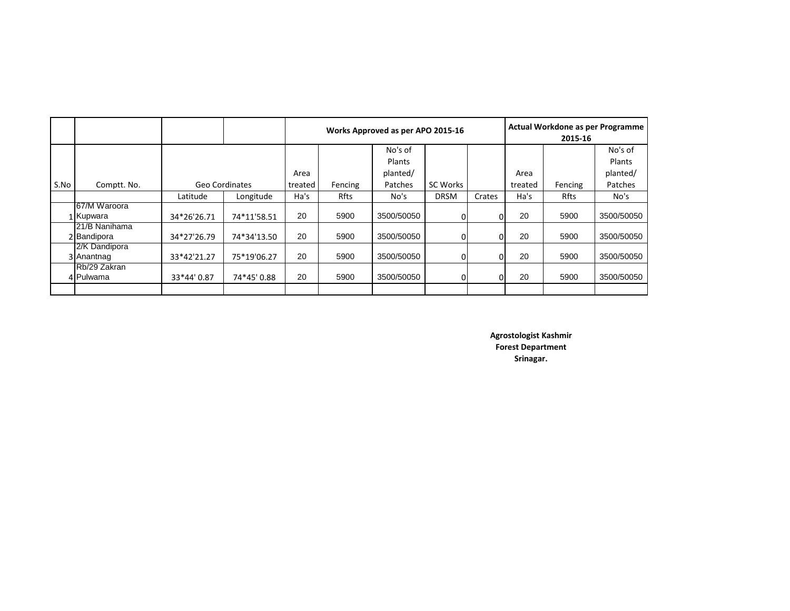|      |               |                |             |         |         | Works Approved as per APO 2015-16 | Actual Workdone as per Programme<br>2015-16 |        |         |         |            |
|------|---------------|----------------|-------------|---------|---------|-----------------------------------|---------------------------------------------|--------|---------|---------|------------|
|      |               |                |             |         |         | No's of                           |                                             |        |         |         | No's of    |
|      |               |                |             |         |         | <b>Plants</b>                     |                                             |        |         |         | Plants     |
|      |               |                |             | Area    |         | planted/                          |                                             |        | Area    |         | planted/   |
| S.No | Comptt. No.   | Geo Cordinates |             | treated | Fencing | Patches                           | SC Works                                    |        | treated | Fencing | Patches    |
|      |               | Latitude       | Longitude   | Ha's    | Rfts    | No's                              | <b>DRSM</b>                                 | Crates | Ha's    | Rfts    | No's       |
|      | 67/M Waroora  |                |             |         |         |                                   |                                             |        |         |         |            |
|      | 1 Kupwara     | 34*26'26.71    | 74*11'58.51 | 20      | 5900    | 3500/50050                        | 0l                                          | ΟI     | 20      | 5900    | 3500/50050 |
|      | 21/B Nanihama |                |             |         |         |                                   |                                             |        |         |         |            |
|      | 2 Bandipora   | 34*27'26.79    | 74*34'13.50 | 20      | 5900    | 3500/50050                        | ΟI                                          | 01     | 20      | 5900    | 3500/50050 |
|      | 2/K Dandipora |                |             |         |         |                                   |                                             |        |         |         |            |
|      | 3 Anantnag    | 33*42'21.27    | 75*19'06.27 | 20      | 5900    | 3500/50050                        | ΩI                                          | ΩI     | 20      | 5900    | 3500/50050 |
|      | Rb/29 Zakran  |                |             |         |         |                                   |                                             |        |         |         |            |
|      | 4 Pulwama     | 33*44'0.87     | 74*45'0.88  | 20      | 5900    | 3500/50050                        | ΟI                                          | 01     | 20      | 5900    | 3500/50050 |
|      |               |                |             |         |         |                                   |                                             |        |         |         |            |

**Srinagar. Agrostologist Kashmir Forest Department**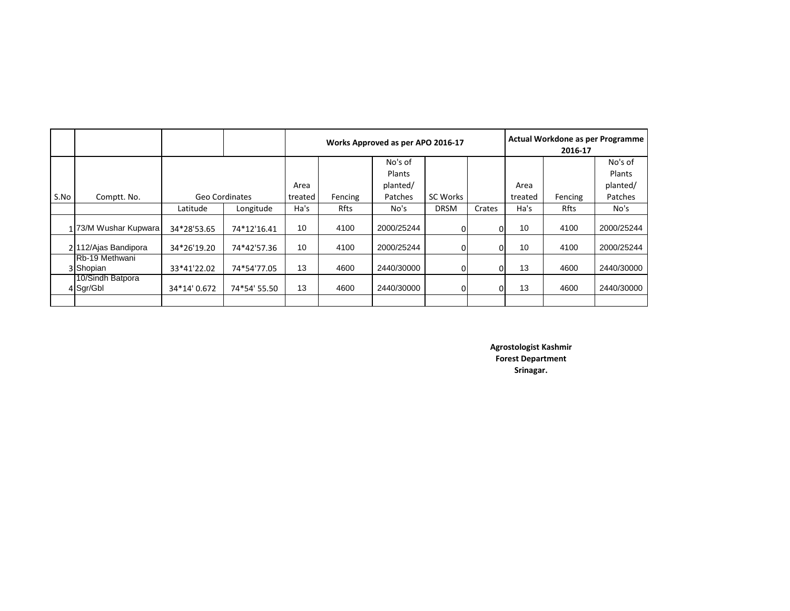|      |                               |                |              |         |         | Works Approved as per APO 2016-17 | <b>Actual Workdone as per Programme</b><br>2016-17 |        |                 |         |            |
|------|-------------------------------|----------------|--------------|---------|---------|-----------------------------------|----------------------------------------------------|--------|-----------------|---------|------------|
|      |                               |                |              |         |         | No's of                           |                                                    |        |                 |         | No's of    |
|      |                               |                |              |         |         | <b>Plants</b>                     |                                                    |        |                 |         | Plants     |
|      |                               |                |              | Area    |         | planted/                          |                                                    |        | Area            |         | planted/   |
| S.No | Comptt. No.                   | Geo Cordinates |              | treated | Fencing | Patches                           | <b>SC Works</b>                                    |        | treated         | Fencing | Patches    |
|      |                               | Latitude       | Longitude    | Ha's    | Rfts    | No's                              | <b>DRSM</b>                                        | Crates | Ha's            | Rfts    | No's       |
|      | 173/M Wushar Kupwara          | 34*28'53.65    | 74*12'16.41  | 10      | 4100    | 2000/25244                        |                                                    | Οl     | 10 <sup>1</sup> | 4100    | 2000/25244 |
|      | 2 112/Ajas Bandipora          | 34*26'19.20    | 74*42'57.36  | 10      | 4100    | 2000/25244                        |                                                    | Οl     | 10 <sup>°</sup> | 4100    | 2000/25244 |
|      | Rb-19 Methwani<br>3 Shopian   | 33*41'22.02    | 74*54'77.05  | 13      | 4600    | 2440/30000                        |                                                    | 01     | 13              | 4600    | 2440/30000 |
|      | 10/Sindh Batpora<br>4 Sgr/Gbl | 34*14' 0.672   | 74*54' 55.50 | 13      | 4600    | 2440/30000                        |                                                    | 01     | 13              | 4600    | 2440/30000 |
|      |                               |                |              |         |         |                                   |                                                    |        |                 |         |            |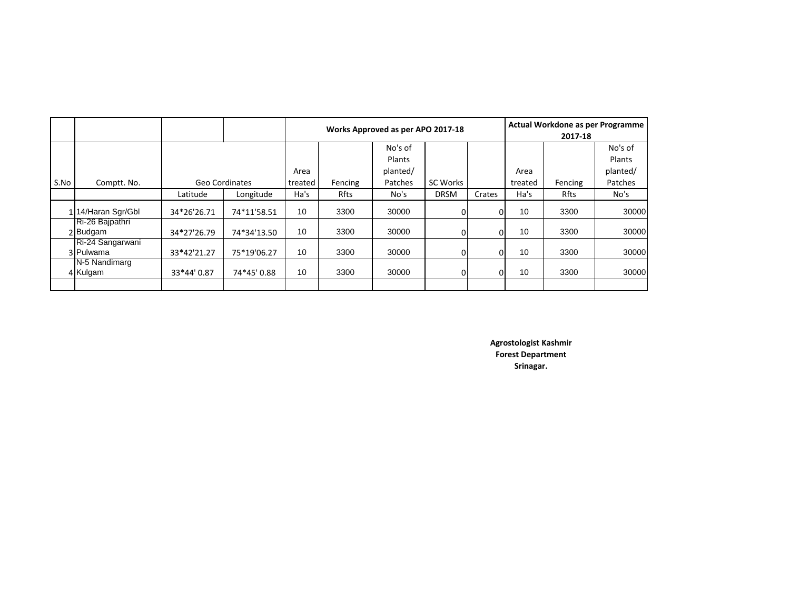|      |                               |                |             |         |         | Works Approved as per APO 2017-18 | Actual Workdone as per Programme<br>2017-18 |        |         |         |          |
|------|-------------------------------|----------------|-------------|---------|---------|-----------------------------------|---------------------------------------------|--------|---------|---------|----------|
|      |                               |                |             |         |         | No's of                           |                                             |        |         |         | No's of  |
|      |                               |                |             |         |         | Plants                            |                                             |        |         |         | Plants   |
|      |                               |                |             |         |         | planted/                          |                                             |        | Area    |         | planted/ |
| S.No | Comptt. No.                   | Geo Cordinates |             | treated | Fencing | Patches                           | SC Works                                    |        | treated | Fencing | Patches  |
|      |                               | Latitude       | Longitude   | Ha's    | Rfts    | No's                              | <b>DRSM</b>                                 | Crates | Ha's    | Rfts    | No's     |
|      | 114/Haran Sgr/Gbl             | 34*26'26.71    | 74*11'58.51 | 10      | 3300    | 30000                             |                                             | Οl     | 10      | 3300    | 30000    |
|      | Ri-26 Bajpathri<br>2 Budgam   | 34*27'26.79    | 74*34'13.50 | 10      | 3300    | 30000                             |                                             | Οl     | 10      | 3300    | 30000    |
|      | Ri-24 Sangarwani<br>3 Pulwama | 33*42'21.27    | 75*19'06.27 | 10      | 3300    | 30000                             | 01                                          | Οl     | 10      | 3300    | 30000    |
|      | N-5 Nandimarg<br>4 Kulgam     | 33*44'0.87     | 74*45'0.88  | 10      | 3300    | 30000                             |                                             | ΟI     | 10      | 3300    | 30000    |
|      |                               |                |             |         |         |                                   |                                             |        |         |         |          |